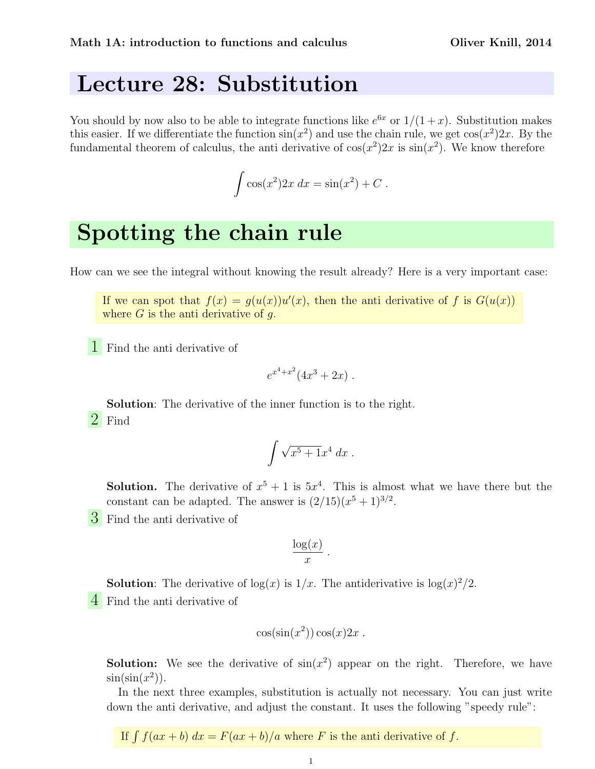#### Lecture 28: Substitution

You should by now also to be able to integrate functions like  $e^{6x}$  or  $1/(1+x)$ . Substitution makes this easier. If we differentiate the function  $\sin(x^2)$  and use the chain rule, we get  $\cos(x^2)2x$ . By the fundamental theorem of calculus, the anti-derivative of  $cos(x^2)2x$  is  $sin(x^2)$ . We know therefore

$$
\int \cos(x^2) 2x \, dx = \sin(x^2) + C \, .
$$

# Spotting the chain rule

How can we see the integral without knowing the result already? Here is a very important case:

If we can spot that  $f(x) = g(u(x))u'(x)$ , then the anti-derivative of f is  $G(u(x))$ where  $G$  is the anti-derivative of  $q$ .

1 Find the anti derivative of

$$
e^{x^4+x^2}(4x^3+2x).
$$

Solution: The derivative of the inner function is to the right. 2 Find

$$
\int \sqrt{x^5 + 1} x^4 \ dx \ .
$$

**Solution.** The derivative of  $x^5 + 1$  is  $5x^4$ . This is almost what we have there but the constant can be adapted. The answer is  $(2/15)(x^5+1)^{3/2}$ .

.

3 Find the anti derivative of

$$
\frac{\log(x)}{x}
$$

**Solution**: The derivative of  $log(x)$  is  $1/x$ . The antiderivative is  $log(x)^2/2$ . 4 Find the anti derivative of

$$
\cos(\sin(x^2))\cos(x)2x.
$$

**Solution:** We see the derivative of  $sin(x^2)$  appear on the right. Therefore, we have  $\sin(\sin(x^2))$ .

In the next three examples, substitution is actually not necessary. You can just write down the anti derivative, and adjust the constant. It uses the following "speedy rule":

If  $\int f(ax + b) dx = F(ax + b)/a$  where F is the anti-derivative of f.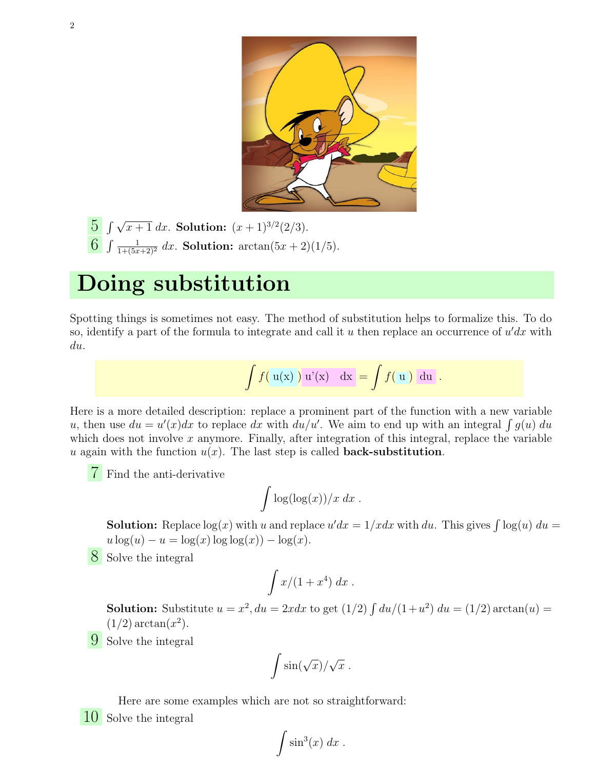

 $\frac{5}{5} \int \sqrt{x+1} \, dx$ . Solution:  $(x+1)^{3/2}(2/3)$ . 6  $\int \frac{1}{1+(5x+2)^2} dx$ . Solution:  $\arctan(5x+2)(1/5)$ .

# Doing substitution

Spotting things is sometimes not easy. The method of substitution helps to formalize this. To do so, identify a part of the formula to integrate and call it u then replace an occurrence of  $u'dx$  with du.

$$
\int f(u(x)) u'(x) dx = \int f(u) du.
$$

Here is a more detailed description: replace a prominent part of the function with a new variable u, then use  $du = u'(x)dx$  to replace dx with  $du/u'$ . We aim to end up with an integral  $\int g(u) du$ which does not involve  $x$  anymore. Finally, after integration of this integral, replace the variable u again with the function  $u(x)$ . The last step is called **back-substitution**.

Find the anti-derivative

$$
\int \log(\log(x))/x \ dx \ .
$$

**Solution:** Replace  $log(x)$  with u and replace  $u'dx = 1/xdx$  with du. This gives  $\int log(u) du =$  $u \log(u) - u = \log(x) \log(\log(x)) - \log(x)$ .

8 Solve the integral

$$
\int x/(1+x^4) \ dx \ .
$$

**Solution:** Substitute  $u = x^2$ ,  $du = 2xdx$  to get  $(1/2) \int du/(1+u^2) du = (1/2) \arctan(u)$  $(1/2)$  arctan $(x^2)$ .

9 Solve the integral

$$
\int \sin(\sqrt{x})/\sqrt{x} .
$$

Here are some examples which are not so straightforward:

10 Solve the integral

$$
\int \sin^3(x) \ dx \ .
$$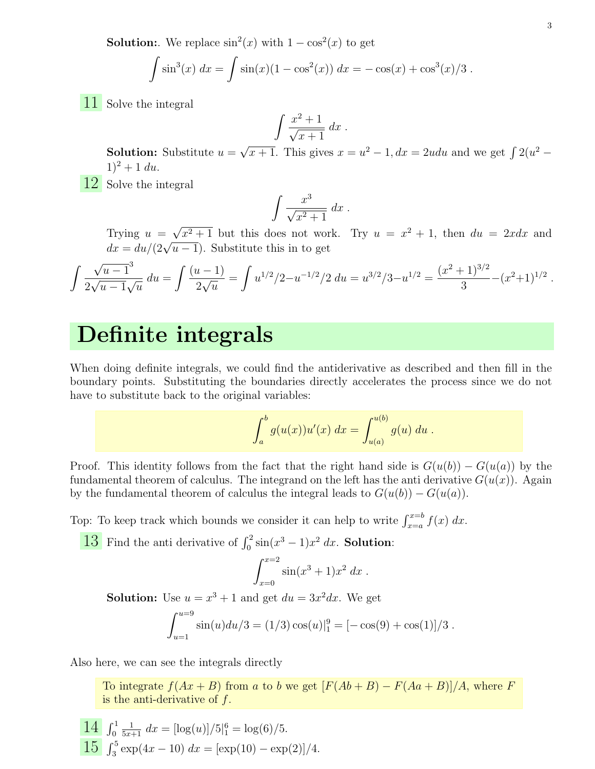**Solution:** We replace  $\sin^2(x)$  with  $1 - \cos^2(x)$  to get

$$
\int \sin^3(x) \, dx = \int \sin(x) (1 - \cos^2(x)) \, dx = -\cos(x) + \cos^3(x)/3 \, .
$$

11 Solve the integral

$$
\int \frac{x^2 + 1}{\sqrt{x+1}} \, dx \, .
$$

**Solution:** Substitute  $u =$ √  $\overline{x+1}$ . This gives  $x = u^2 - 1$ ,  $dx = 2udu$  and we get  $\int 2(u^2 1)^2 + 1 du$ .

12 Solve the integral

$$
\int \frac{x^3}{\sqrt{x^2+1}} dx.
$$

Trying  $u =$ √ Trying  $u = \sqrt{x^2 + 1}$  but this does not work. Try  $u = x^2 + 1$ , then  $du = 2xdx$  and  $dx = du/(2\sqrt{u-1})$ . Substitute this in to get

$$
\int \frac{\sqrt{u-1}^3}{2\sqrt{u-1}\sqrt{u}} du = \int \frac{(u-1)}{2\sqrt{u}} = \int u^{1/2}/2 - u^{-1/2}/2 du = u^{3/2}/3 - u^{1/2} = \frac{(x^2+1)^{3/2}}{3} - (x^2+1)^{1/2}.
$$

### Definite integrals

When doing definite integrals, we could find the antiderivative as described and then fill in the boundary points. Substituting the boundaries directly accelerates the process since we do not have to substitute back to the original variables:

$$
\int_a^b g(u(x))u'(x) \ dx = \int_{u(a)}^{u(b)} g(u) \ du \ .
$$

Proof. This identity follows from the fact that the right hand side is  $G(u(b)) - G(u(a))$  by the fundamental theorem of calculus. The integrand on the left has the anti derivative  $G(u(x))$ . Again by the fundamental theorem of calculus the integral leads to  $G(u(b)) - G(u(a))$ .

Top: To keep track which bounds we consider it can help to write  $\int_{x=a}^{x=b} f(x) dx$ .

13 Find the anti derivative of  $\int_0^2 \sin(x^3 - 1)x^2 dx$ . **Solution**:

$$
\int_{x=0}^{x=2} \sin(x^3+1)x^2 dx .
$$

**Solution:** Use  $u = x^3 + 1$  and get  $du = 3x^2 dx$ . We get

$$
\int_{u=1}^{u=9} \sin(u) du/3 = (1/3) \cos(u)|_1^9 = [-\cos(9) + \cos(1)]/3.
$$

Also here, we can see the integrals directly

To integrate  $f(Ax + B)$  from a to b we get  $[F(Ab + B) - F(Aa + B)]/A$ , where F is the anti-derivative of  $f$ .

 $14 \int_0^1$  $\frac{1}{5x+1} dx = \frac{\log(u)}{5\frac{6}{1}} = \log(6)/5.$  $\frac{15}{3} \int_3^5 \exp(4x - 10) dx = [\exp(10) - \exp(2)]/4.$